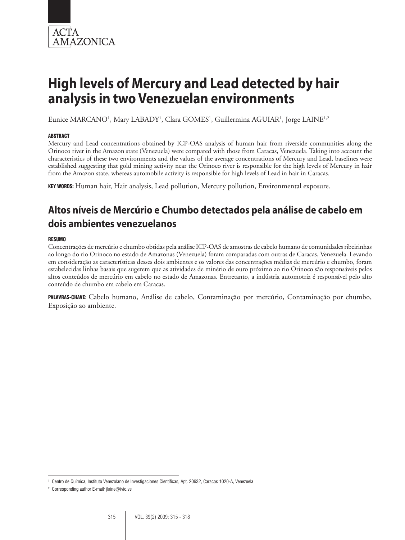

# **High levels of Mercury and Lead detected by hair analysis in two Venezuelan environments**

Eunice MARCANO<sup>1</sup>, Mary LABADY<sup>1</sup>, Clara GOMES<sup>1</sup>, Guillermina AGUIAR<sup>1</sup>, Jorge LAINE<sup>1,2</sup>

# **ABSTRACT**

Mercury and Lead concentrations obtained by ICP-OAS analysis of human hair from riverside communities along the Orinoco river in the Amazon state (Venezuela) were compared with those from Caracas, Venezuela. Taking into account the characteristics of these two environments and the values of the average concentrations of Mercury and Lead, baselines were established suggesting that gold mining activity near the Orinoco river is responsible for the high levels of Mercury in hair from the Amazon state, whereas automobile activity is responsible for high levels of Lead in hair in Caracas.

KEY WORDS: Human hair, Hair analysis, Lead pollution, Mercury pollution, Environmental exposure.

# **Altos níveis de Mercúrio e Chumbo detectados pela análise de cabelo em dois ambientes venezuelanos**

### RESUMO

Concentrações de mercúrio e chumbo obtidas pela análise ICP-OAS de amostras de cabelo humano de comunidades ribeirinhas ao longo do rio Orinoco no estado de Amazonas (Venezuela) foram comparadas com outras de Caracas, Venezuela. Levando em consideração as características desses dois ambientes e os valores das concentrações médias de mercúrio e chumbo, foram estabelecidas linhas basais que sugerem que as atividades de minério de ouro próximo ao rio Orinoco são responsáveis pelos altos conteúdos de mercúrio em cabelo no estado de Amazonas. Entretanto, a indústria automotriz é responsável pelo alto conteúdo de chumbo em cabelo em Caracas.

PALAVRAS-CHAVE: Cabelo humano, Análise de cabelo, Contaminação por mercúrio, Contaminação por chumbo, Exposição ao ambiente.

<sup>1</sup> Centro de Química, Instituto Venezolano de Investigaciones Científicas, Apt. 20632, Caracas 1020-A, Venezuela

<sup>2</sup> Corresponding author E-mail*:* jlaine@ivic.ve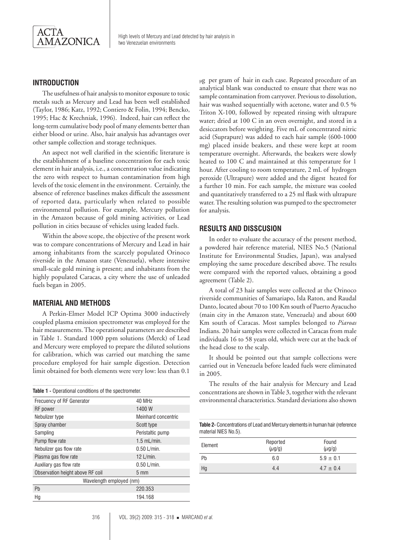

# **INTRODUCTION**

The usefulness of hair analysis to monitor exposure to toxic metals such as Mercury and Lead has been well established (Taylor, 1986; Katz, 1992; Contiero & Folin, 1994; Bencko, 1995; Hac & Krechniak, 1996). Indeed, hair can reflect the long-term cumulative body pool of many elements better than either blood or urine. Also, hair analysis has advantages over other sample collection and storage techniques.

An aspect not well clarified in the scientific literature is the establishment of a baseline concentration for each toxic element in hair analysis, i.e., a concentration value indicating the zero with respect to human contamination from high levels of the toxic element in the environment. Certainly, the absence of reference baselines makes difficult the assessment of reported data, particularly when related to possible environmental pollution. For example, Mercury pollution in the Amazon because of gold mining activities, or Lead pollution in cities because of vehicles using leaded fuels.

Within the above scope, the objective of the present work was to compare concentrations of Mercury and Lead in hair among inhabitants from the scarcely populated Orinoco riverside in the Amazon state (Venezuela), where intensive small-scale gold mining is present; and inhabitants from the highly populated Caracas, a city where the use of unleaded fuels began in 2005.

# **MATERIAL AND METHODS**

A Perkin-Elmer Model ICP Optima 3000 inductively coupled plasma emission spectrometer was employed for the hair measurements. The operational parameters are described in Table 1. Standard 1000 ppm solutions (Merck) of Lead and Mercury were employed to prepare the diluted solutions for calibration, which was carried out matching the same procedure employed for hair sample digestion. Detection limit obtained for both elements were very low: less than 0.1

|  |  |  |  |  |  | Table 1 - Operational conditions of the spectrometer. |
|--|--|--|--|--|--|-------------------------------------------------------|
|--|--|--|--|--|--|-------------------------------------------------------|

| Frecuency of RF Generator        | 40 MHz              |  |  |  |
|----------------------------------|---------------------|--|--|--|
| RF power                         | 1400 W              |  |  |  |
| Nebulizer type                   | Meinhard concentric |  |  |  |
| Spray chamber                    | Scott type          |  |  |  |
| Sampling                         | Peristaltic pump    |  |  |  |
| Pump flow rate                   | $1.5$ mL/min.       |  |  |  |
| Nebulizer gas flow rate          | $0.50$ L/min.       |  |  |  |
| Plasma gas flow rate             | $12$ L/min.         |  |  |  |
| Auxiliary gas flow rate          | $0.50$ L/min.       |  |  |  |
| Observation height above RF coil | $5 \text{ mm}$      |  |  |  |
| Wavelength employed (nm)         |                     |  |  |  |
| Pb                               | 220.353             |  |  |  |
| Нg                               | 194.168             |  |  |  |
|                                  |                     |  |  |  |

µg per gram of hair in each case. Repeated procedure of an analytical blank was conducted to ensure that there was no sample contamination from carryover. Previous to dissolution, hair was washed sequentially with acetone, water and 0.5 % Triton X-100, followed by repeated rinsing with ultrapure water; dried at 100 C in an oven overnight, and stored in a desiccators before weighting. Five mL of concentrated nitric acid (Suprapure) was added to each hair sample (600-1000 mg) placed inside beakers, and these were kept at room temperature overnight. Afterwards, the beakers were slowly heated to 100 C and maintained at this temperature for 1 hour. After cooling to room temperature, 2 mL of hydrogen peroxide (Ultrapure) were added and the digest heated for a further 10 min. For each sample, the mixture was cooled and quantitatively transferred to a 25 ml flask with ultrapure water. The resulting solution was pumped to the spectrometer for analysis.

### **RESULTS AND DISSCUSION**

In order to evaluate the accuracy of the present method, a powdered hair reference material, NIES No.5 (National Institute for Environmental Studies, Japan), was analysed employing the same procedure described above. The results were compared with the reported values, obtaining a good agreement (Table 2).

A total of 23 hair samples were collected at the Orinoco riverside communities of Samariapo, Isla Raton, and Raudal Danto, located about 70 to 100 Km south of Puerto Ayacucho (main city in the Amazon state, Venezuela) and about 600 Km south of Caracas. Most samples belonged to *Piaroas*  Indians. 20 hair samples were collected in Caracas from male individuals 16 to 58 years old, which were cut at the back of the head close to the scalp.

It should be pointed out that sample collections were carried out in Venezuela before leaded fuels were eliminated in 2005.

The results of the hair analysis for Mercury and Lead concentrations are shown in Table 3, together with the relevant environmental characteristics. Standard deviations also shown

**Table 2-** Concentrations of Lead and Mercury elements in human hair (reference material NIES No.5).

| Element | Reported<br>$(\mu$ g/g) | Found<br>$(\mu$ g/g) |
|---------|-------------------------|----------------------|
| Pb      | 6.0                     | $5.9 \pm 0.1$        |
| Hg      | 4.4                     | $4.7 \pm 0.4$        |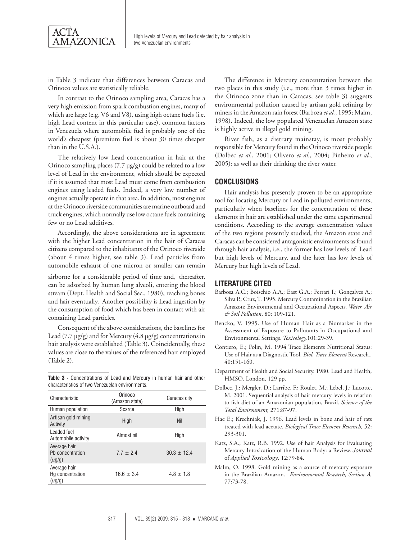

in Table 3 indicate that differences between Caracas and Orinoco values are statistically reliable.

In contrast to the Orinoco sampling area, Caracas has a very high emission from spark combustion engines, many of which are large (e.g. V6 and V8), using high octane fuels (i.e. high Lead content in this particular case), common factors in Venezuela where automobile fuel is probably one of the world's cheapest (premium fuel is about 30 times cheaper than in the U.S.A.).

The relatively low Lead concentration in hair at the Orinoco sampling places  $(7.7 \text{ µg/g})$  could be related to a low level of Lead in the environment, which should be expected if it is assumed that most Lead must come from combustion engines using leaded fuels. Indeed, a very low number of engines actually operate in that area. In addition, most engines at the Orinoco riverside communities are marine outboard and truck engines, which normally use low octane fuels containing few or no Lead additives.

Accordingly, the above considerations are in agreement with the higher Lead concentration in the hair of Caracas citizens compared to the inhabitants of the Orinoco riverside (about 4 times higher, see table 3). Lead particles from automobile exhaust of one micron or smaller can remain

airborne for a considerable period of time and, thereafter, can be adsorbed by human lung alveoli, entering the blood stream (Dept. Health and Social Sec., 1980), reaching bones and hair eventually. Another possibility is Lead ingestion by the consumption of food which has been in contact with air containing Lead particles.

Consequent of the above considerations, the baselines for Lead (7.7  $\mu$ g/g) and for Mercury (4.8  $\mu$ g/g) concentrations in hair analysis were established (Table 3). Coincidentally, these values are close to the values of the referenced hair employed (Table 2).

**Table 3 -** Concentrations of Lead and Mercury in human hair and other characteristics of two Venezuelan environments.

| Characteristic                                  | Orinoco<br>(Amazon state) | Caracas city  |  |
|-------------------------------------------------|---------------------------|---------------|--|
| Human population                                | Scarce                    | High          |  |
| Artisan gold mining<br>Activity                 | High                      | Nil           |  |
| Leaded fuel<br>Automobile activity              | Almost nil                | High          |  |
| Average hair<br>Ph concentration<br>$(\mu q/q)$ | $7.7 + 2.4$               | $30.3 + 12.4$ |  |
| Average hair<br>Hg concentration<br>$(\mu$ g/g) | $16.6 \pm 3.4$            | $4.8 \pm 1.8$ |  |
|                                                 |                           |               |  |

The difference in Mercury concentration between the two places in this study (i.e., more than 3 times higher in the Orinoco zone than in Caracas, see table 3) suggests environmental pollution caused by artisan gold refining by miners in the Amazon rain forest (Barboza *et al.*, 1995; Malm, 1998). Indeed, the low populated Venezuelan Amazon state is highly active in illegal gold mining.

River fish, as a dietrary mainstay, is most probably responsible for Mercury found in the Orinoco riverside people (Dolbec *et al.*, 2001; Olivero *et al.*, 2004; Pinheiro *et al.*, 2005); as well as their drinking the river water.

# **CONCLUSIONS**

Hair analysis has presently proven to be an appropriate tool for locating Mercury or Lead in polluted environments, particularly when baselines for the concentration of these elements in hair are established under the same experimental conditions. According to the average concentration values of the two regions presently studied, the Amazon state and Caracas can be considered antagonistic environments as found through hair analysis, i.e., the former has low levels of Lead but high levels of Mercury, and the later has low levels of Mercury but high levels of Lead.

#### **LITERATURE CITED**

- Barbosa A.C.; Boischio A.A.; East G.A.; Ferrari I.; Gonçalves A.; Silva P.; Cruz, T. 1995. Mercury Contamination in the Brazilian Amazon: Environmental and Occupational Aspects*. Water, Air & Soil Pollution*, 80: 109-121.
- Bencko, V. 1995. Use of Human Hair as a Biomarker in the Assessment of Exposure to Pollutants in Occupational and Environmental Settings. *Toxicology,*101:29-39.
- Contiero, E.; Folin, M. 1994 Trace Elements Nutritional Status: Use of Hair as a Diagnostic Tool. *Biol. Trace Element* Research*.,*  40:151-160.
- Department of Health and Social Security. 1980. Lead and Health, HMSO, London, 129 pp.
- Dolbec, J.; Mergler, D.; Larribe, F.; Roulet, M.; Lebel, J.; Lucotte, M. 2001. Sequential analysis of hair mercury levels in relation to fish diet of an Amazonian population, Brazil. *Science of the Total Environment,* 271:87-97.
- Hac E.; Krechniak, J. 1996. Lead levels in bone and hair of rats treated with lead acetate. *Biological Trace Element Research,* 52: 293-301.
- Katz, S.A.; Katz, R.B. 1992. Use of hair Analysis for Evaluating Mercury Intoxication of the Human Body: a Review. *Journal* of *Applied Toxicology,* 12:79-84.
- Malm, O. 1998. Gold mining as a source of mercury exposure in the Brazilian Amazon. *Environmental Research, Section A,* 77:73-78.